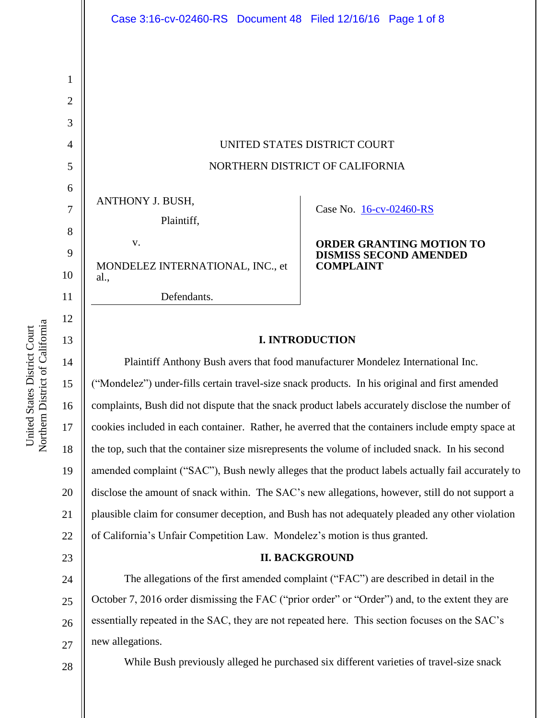UNITED STATES DISTRICT COURT NORTHERN DISTRICT OF CALIFORNIA

ANTHONY J. BUSH,

Plaintiff,

v. MONDELEZ INTERNATIONAL, INC., et al., Defendants.

# Case No. [16-cv-02460-RS](https://ecf.cand.uscourts.gov/cgi-bin/DktRpt.pl?298479)

#### **ORDER GRANTING MOTION TO DISMISS SECOND AMENDED COMPLAINT**

# **I. INTRODUCTION**

Plaintiff Anthony Bush avers that food manufacturer Mondelez International Inc. ("Mondelez") under-fills certain travel-size snack products. In his original and first amended complaints, Bush did not dispute that the snack product labels accurately disclose the number of cookies included in each container. Rather, he averred that the containers include empty space at the top, such that the container size misrepresents the volume of included snack. In his second amended complaint ("SAC"), Bush newly alleges that the product labels actually fail accurately to disclose the amount of snack within. The SAC's new allegations, however, still do not support a plausible claim for consumer deception, and Bush has not adequately pleaded any other violation of California's Unfair Competition Law. Mondelez's motion is thus granted.

# **II. BACKGROUND**

24 25 26 27 The allegations of the first amended complaint ("FAC") are described in detail in the October 7, 2016 order dismissing the FAC ("prior order" or "Order") and, to the extent they are essentially repeated in the SAC, they are not repeated here. This section focuses on the SAC's new allegations.

While Bush previously alleged he purchased six different varieties of travel-size snack

1

2

3

4

5

6

7

8

9

10

11

12

13

14

15

16

17

18

19

20

21

22

23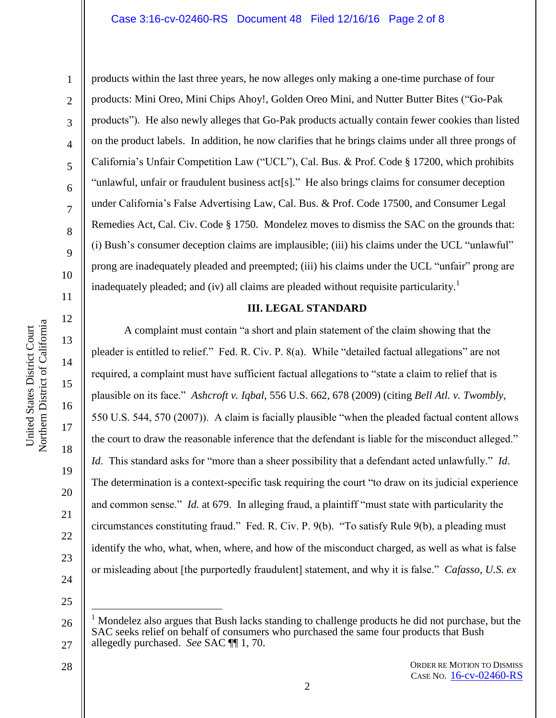#### Case 3:16-cv-02460-RS Document 48 Filed 12/16/16 Page 2 of 8

1

2

3

4

5

6

7

8

9

10

11

12

13

14

15

16

17

18

19

20

21

22

23

products within the last three years, he now alleges only making a one-time purchase of four products: Mini Oreo, Mini Chips Ahoy!, Golden Oreo Mini, and Nutter Butter Bites ("Go-Pak products"). He also newly alleges that Go-Pak products actually contain fewer cookies than listed on the product labels. In addition, he now clarifies that he brings claims under all three prongs of California's Unfair Competition Law ("UCL"), Cal. Bus. & Prof. Code § 17200, which prohibits "unlawful, unfair or fraudulent business act[s]." He also brings claims for consumer deception under California's False Advertising Law, Cal. Bus. & Prof. Code 17500, and Consumer Legal Remedies Act, Cal. Civ. Code § 1750. Mondelez moves to dismiss the SAC on the grounds that: (i) Bush's consumer deception claims are implausible; (iii) his claims under the UCL "unlawful" prong are inadequately pleaded and preempted; (iii) his claims under the UCL "unfair" prong are inadequately pleaded; and (iv) all claims are pleaded without requisite particularity.<sup>1</sup>

#### **III. LEGAL STANDARD**

A complaint must contain "a short and plain statement of the claim showing that the pleader is entitled to relief." Fed. R. Civ. P. 8(a). While "detailed factual allegations" are not required, a complaint must have sufficient factual allegations to "state a claim to relief that is plausible on its face." *Ashcroft v. Iqbal*, 556 U.S. 662, 678 (2009) (citing *Bell Atl. v. Twombly*, 550 U.S. 544, 570 (2007)). A claim is facially plausible "when the pleaded factual content allows the court to draw the reasonable inference that the defendant is liable for the misconduct alleged." *Id*. This standard asks for "more than a sheer possibility that a defendant acted unlawfully." *Id*. The determination is a context-specific task requiring the court "to draw on its judicial experience and common sense." *Id*. at 679. In alleging fraud, a plaintiff "must state with particularity the circumstances constituting fraud." Fed. R. Civ. P. 9(b). "To satisfy Rule 9(b), a pleading must identify the who, what, when, where, and how of the misconduct charged, as well as what is false or misleading about [the purportedly fraudulent] statement, and why it is false." *Cafasso, U.S. ex* 

24 25

 $\overline{a}$ 

- 26 27 <sup>1</sup> Mondelez also argues that Bush lacks standing to challenge products he did not purchase, but the SAC seeks relief on behalf of consumers who purchased the same four products that Bush allegedly purchased. *See* SAC ¶¶ 1, 70.
	- ORDER RE MOTION TO DISMISS CASE NO. [16-cv-02460-RS](https://ecf.cand.uscourts.gov/cgi-bin/DktRpt.pl?298479)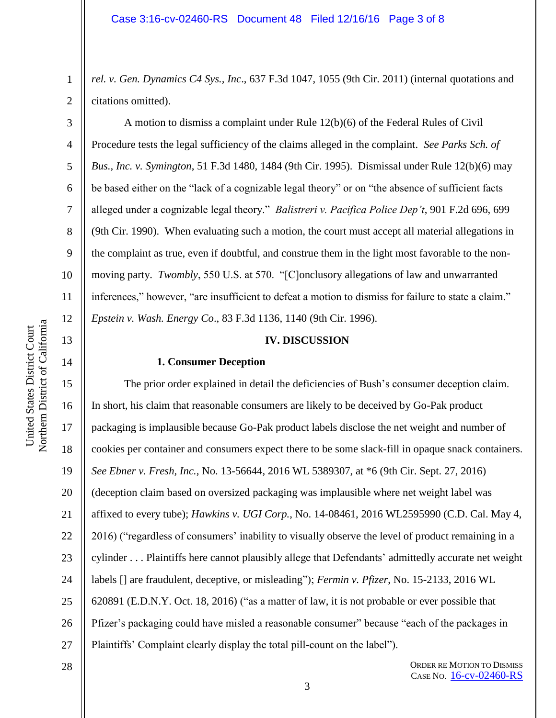*rel. v. Gen. Dynamics C4 Sys., Inc*., 637 F.3d 1047, 1055 (9th Cir. 2011) (internal quotations and citations omitted).

A motion to dismiss a complaint under Rule 12(b)(6) of the Federal Rules of Civil Procedure tests the legal sufficiency of the claims alleged in the complaint. *See Parks Sch. of Bus., Inc. v. Symington*, 51 F.3d 1480, 1484 (9th Cir. 1995). Dismissal under Rule 12(b)(6) may be based either on the "lack of a cognizable legal theory" or on "the absence of sufficient facts alleged under a cognizable legal theory." *Balistreri v. Pacifica Police Dep't*, 901 F.2d 696, 699 (9th Cir. 1990). When evaluating such a motion, the court must accept all material allegations in the complaint as true, even if doubtful, and construe them in the light most favorable to the nonmoving party. *Twombly*, 550 U.S. at 570. "[C]onclusory allegations of law and unwarranted inferences," however, "are insufficient to defeat a motion to dismiss for failure to state a claim." *Epstein v. Wash. Energy Co*., 83 F.3d 1136, 1140 (9th Cir. 1996).

### **IV. DISCUSSION**

### **1. Consumer Deception**

15 16 17 18 19 20 21 22 23 24 25 26 27 The prior order explained in detail the deficiencies of Bush's consumer deception claim. In short, his claim that reasonable consumers are likely to be deceived by Go-Pak product packaging is implausible because Go-Pak product labels disclose the net weight and number of cookies per container and consumers expect there to be some slack-fill in opaque snack containers. *See Ebner v. Fresh, Inc.*, No. 13-56644, 2016 WL 5389307, at \*6 (9th Cir. Sept. 27, 2016) (deception claim based on oversized packaging was implausible where net weight label was affixed to every tube); *Hawkins v. UGI Corp.*, No. 14-08461, 2016 WL2595990 (C.D. Cal. May 4, 2016) ("regardless of consumers' inability to visually observe the level of product remaining in a cylinder . . . Plaintiffs here cannot plausibly allege that Defendants' admittedly accurate net weight labels [] are fraudulent, deceptive, or misleading"); *Fermin v. Pfizer*, No. 15-2133, 2016 WL 620891 (E.D.N.Y. Oct. 18, 2016) ("as a matter of law, it is not probable or ever possible that Pfizer's packaging could have misled a reasonable consumer" because "each of the packages in Plaintiffs' Complaint clearly display the total pill-count on the label").

28

1

2

3

4

5

6

7

8

9

10

11

12

13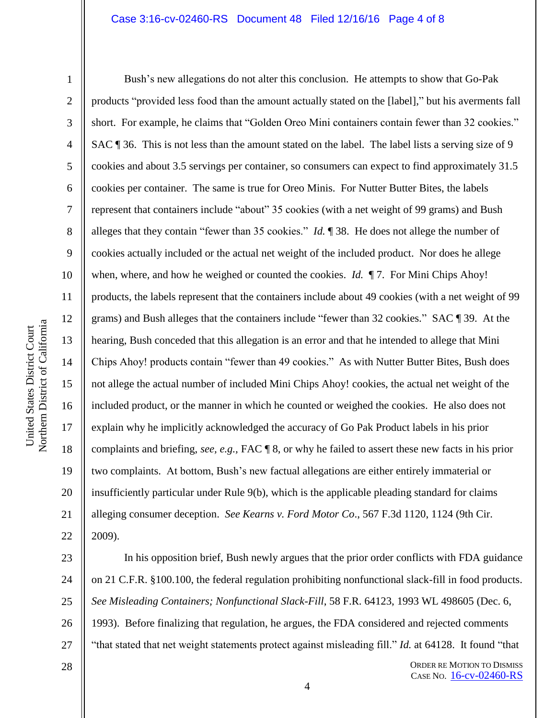#### Case 3:16-cv-02460-RS Document 48 Filed 12/16/16 Page 4 of 8

1

2

3

4

5

6

7

8

9

10

11

12

13

14

15

16

17

18

19

20

21

22

Bush's new allegations do not alter this conclusion. He attempts to show that Go-Pak products "provided less food than the amount actually stated on the [label]," but his averments fall short. For example, he claims that "Golden Oreo Mini containers contain fewer than 32 cookies." SAC ¶ 36. This is not less than the amount stated on the label. The label lists a serving size of 9 cookies and about 3.5 servings per container, so consumers can expect to find approximately 31.5 cookies per container. The same is true for Oreo Minis. For Nutter Butter Bites, the labels represent that containers include "about" 35 cookies (with a net weight of 99 grams) and Bush alleges that they contain "fewer than 35 cookies." *Id.* ¶ 38. He does not allege the number of cookies actually included or the actual net weight of the included product. Nor does he allege when, where, and how he weighed or counted the cookies. *Id.*  $\P$ 7. For Mini Chips Ahoy! products, the labels represent that the containers include about 49 cookies (with a net weight of 99 grams) and Bush alleges that the containers include "fewer than 32 cookies." SAC ¶ 39. At the hearing, Bush conceded that this allegation is an error and that he intended to allege that Mini Chips Ahoy! products contain "fewer than 49 cookies." As with Nutter Butter Bites, Bush does not allege the actual number of included Mini Chips Ahoy! cookies, the actual net weight of the included product, or the manner in which he counted or weighed the cookies. He also does not explain why he implicitly acknowledged the accuracy of Go Pak Product labels in his prior complaints and briefing, *see, e.g.,* FAC ¶ 8, or why he failed to assert these new facts in his prior two complaints. At bottom, Bush's new factual allegations are either entirely immaterial or insufficiently particular under Rule 9(b), which is the applicable pleading standard for claims alleging consumer deception. *See Kearns v. Ford Motor Co*., 567 F.3d 1120, 1124 (9th Cir. 2009).

23 24 25 26 27 In his opposition brief, Bush newly argues that the prior order conflicts with FDA guidance on 21 C.F.R. §100.100, the federal regulation prohibiting nonfunctional slack-fill in food products. *See Misleading Containers; Nonfunctional Slack-Fill*, 58 F.R. 64123, 1993 WL 498605 (Dec. 6, 1993). Before finalizing that regulation, he argues, the FDA considered and rejected comments "that stated that net weight statements protect against misleading fill." *Id.* at 64128. It found "that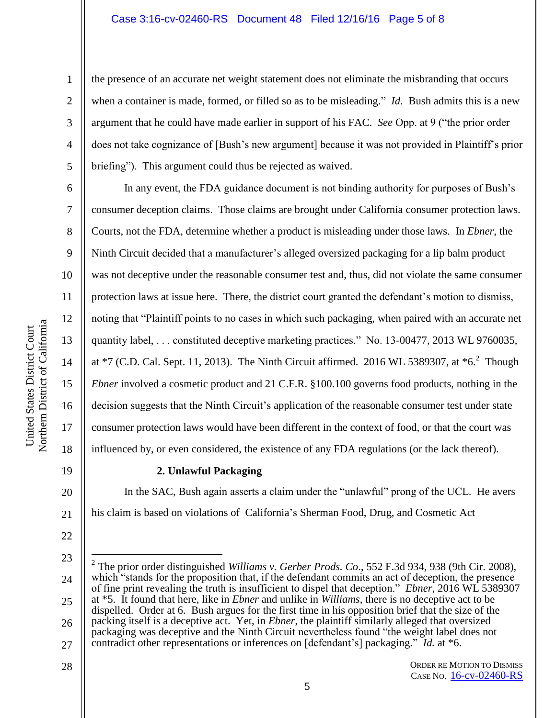### Case 3:16-cv-02460-RS Document 48 Filed 12/16/16 Page 5 of 8

1

2

3

4

5

6

7

8

9

10

11

12

13

14

15

16

17

18

the presence of an accurate net weight statement does not eliminate the misbranding that occurs when a container is made, formed, or filled so as to be misleading." *Id*. Bush admits this is a new argument that he could have made earlier in support of his FAC. *See* Opp. at 9 ("the prior order does not take cognizance of [Bush's new argument] because it was not provided in Plaintiff's prior briefing"). This argument could thus be rejected as waived.

In any event, the FDA guidance document is not binding authority for purposes of Bush's consumer deception claims. Those claims are brought under California consumer protection laws. Courts, not the FDA, determine whether a product is misleading under those laws. In *Ebner*, the Ninth Circuit decided that a manufacturer's alleged oversized packaging for a lip balm product was not deceptive under the reasonable consumer test and, thus, did not violate the same consumer protection laws at issue here. There, the district court granted the defendant's motion to dismiss, noting that "Plaintiff points to no cases in which such packaging, when paired with an accurate net quantity label, . . . constituted deceptive marketing practices." No. 13-00477, 2013 WL 9760035, at  $*7$  (C.D. Cal. Sept. 11, 2013). The Ninth Circuit affirmed. 2016 WL 5389307, at  $*6$ . Though *Ebner* involved a cosmetic product and 21 C.F.R. §100.100 governs food products, nothing in the decision suggests that the Ninth Circuit's application of the reasonable consumer test under state consumer protection laws would have been different in the context of food, or that the court was influenced by, or even considered, the existence of any FDA regulations (or the lack thereof).

19

20

21

22

28

# **2. Unlawful Packaging**

In the SAC, Bush again asserts a claim under the "unlawful" prong of the UCL. He avers his claim is based on violations of California's Sherman Food, Drug, and Cosmetic Act

ORDER RE MOTION TO DISMISS CASE NO. [16-cv-02460-RS](https://ecf.cand.uscourts.gov/cgi-bin/DktRpt.pl?298479)

<sup>23</sup> 24 25 26 27  $\overline{a}$ 2 The prior order distinguished *Williams v. Gerber Prods. Co*., 552 F.3d 934, 938 (9th Cir. 2008), which "stands for the proposition that, if the defendant commits an act of deception, the presence of fine print revealing the truth is insufficient to dispel that deception." *Ebner*, 2016 WL 5389307 at \*5. It found that here, like in *Ebner* and unlike in *Williams*, there is no deceptive act to be dispelled. Order at 6. Bush argues for the first time in his opposition brief that the size of the packing itself is a deceptive act. Yet, in *Ebner*, the plaintiff similarly alleged that oversized packaging was deceptive and the Ninth Circuit nevertheless found "the weight label does not contradict other representations or inferences on [defendant's] packaging." *Id.* at \*6.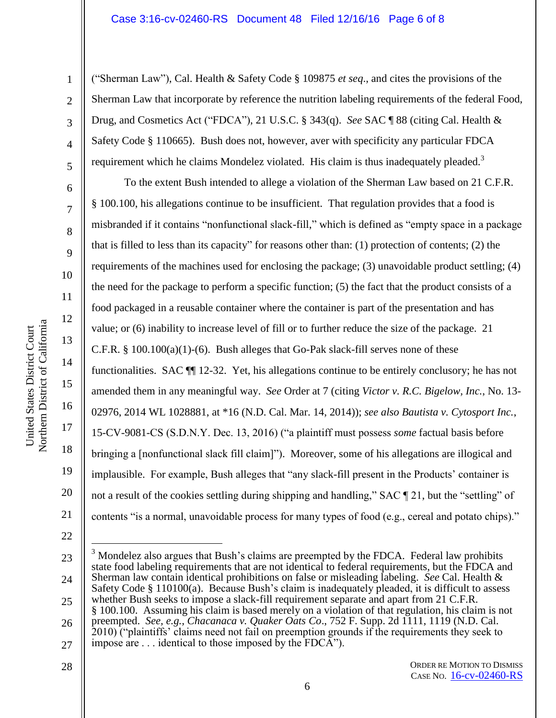#### Case 3:16-cv-02460-RS Document 48 Filed 12/16/16 Page 6 of 8

1

2

3

4

5

6

7

8

9

10

11

12

13

14

15

16

17

18

19

20

21

("Sherman Law"), Cal. Health & Safety Code § 109875 *et seq*., and cites the provisions of the Sherman Law that incorporate by reference the nutrition labeling requirements of the federal Food, Drug, and Cosmetics Act ("FDCA"), 21 U.S.C. § 343(q). *See* SAC ¶ 88 (citing Cal. Health & Safety Code § 110665). Bush does not, however, aver with specificity any particular FDCA requirement which he claims Mondelez violated. His claim is thus inadequately pleaded.<sup>3</sup>

To the extent Bush intended to allege a violation of the Sherman Law based on 21 C.F.R. § 100.100, his allegations continue to be insufficient. That regulation provides that a food is misbranded if it contains "nonfunctional slack-fill," which is defined as "empty space in a package that is filled to less than its capacity" for reasons other than: (1) protection of contents; (2) the requirements of the machines used for enclosing the package; (3) unavoidable product settling; (4) the need for the package to perform a specific function; (5) the fact that the product consists of a food packaged in a reusable container where the container is part of the presentation and has value; or (6) inability to increase level of fill or to further reduce the size of the package. 21 C.F.R.  $\S$  100.100(a)(1)-(6). Bush alleges that Go-Pak slack-fill serves none of these functionalities. SAC ¶¶ 12-32. Yet, his allegations continue to be entirely conclusory; he has not amended them in any meaningful way. *See* Order at 7 (citing *Victor v. R.C. Bigelow, Inc.*, No. 13- 02976, 2014 WL 1028881, at \*16 (N.D. Cal. Mar. 14, 2014)); *see also Bautista v. Cytosport Inc.*, 15-CV-9081-CS (S.D.N.Y. Dec. 13, 2016) ("a plaintiff must possess *some* factual basis before bringing a [nonfunctional slack fill claim]"). Moreover, some of his allegations are illogical and implausible. For example, Bush alleges that "any slack-fill present in the Products' container is not a result of the cookies settling during shipping and handling," SAC ¶ 21, but the "settling" of contents "is a normal, unavoidable process for many types of food (e.g., cereal and potato chips)."

22

 $\overline{a}$ 

28

#### ORDER RE MOTION TO DISMISS CASE NO. [16-cv-02460-RS](https://ecf.cand.uscourts.gov/cgi-bin/DktRpt.pl?298479)

<sup>23</sup>

<sup>24</sup> 25 Mondelez also argues that Bush's claims are preempted by the FDCA. Federal law prohibits state food labeling requirements that are not identical to federal requirements, but the FDCA and Sherman law contain identical prohibitions on false or misleading labeling. *See* Cal. Health & Safety Code § 110100(a). Because Bush's claim is inadequately pleaded, it is difficult to assess whether Bush seeks to impose a slack-fill requirement separate and apart from 21 C.F.R.

<sup>26</sup> § 100.100. Assuming his claim is based merely on a violation of that regulation, his claim is not preempted. *See, e.g., Chacanaca v. Quaker Oats Co*., 752 F. Supp. 2d 1111, 1119 (N.D. Cal.

<sup>27</sup> 2010) ("plaintiffs' claims need not fail on preemption grounds if the requirements they seek to impose are . . . identical to those imposed by the FDCA").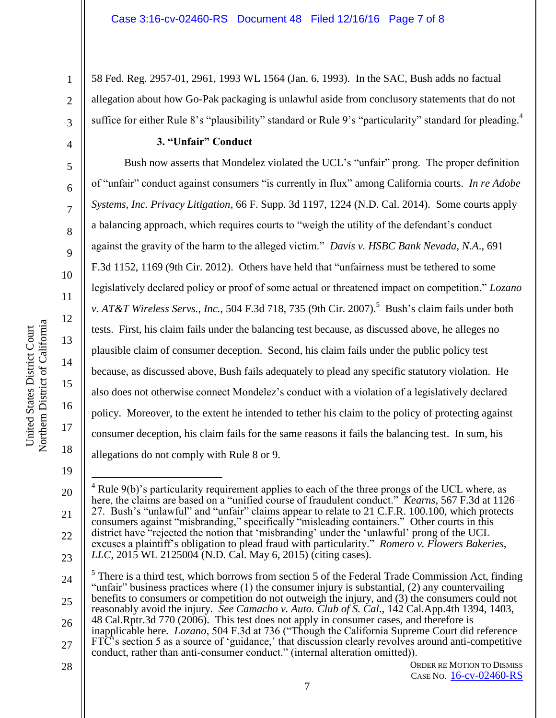58 Fed. Reg. 2957-01, 2961, 1993 WL 1564 (Jan. 6, 1993). In the SAC, Bush adds no factual allegation about how Go-Pak packaging is unlawful aside from conclusory statements that do not suffice for either Rule 8's "plausibility" standard or Rule 9's "particularity" standard for pleading.<sup>4</sup>

# **3. "Unfair" Conduct**

Bush now asserts that Mondelez violated the UCL's "unfair" prong. The proper definition of "unfair" conduct against consumers "is currently in flux" among California courts. *In re Adobe Systems, Inc. Privacy Litigation*, 66 F. Supp. 3d 1197, 1224 (N.D. Cal. 2014). Some courts apply a balancing approach, which requires courts to "weigh the utility of the defendant's conduct against the gravity of the harm to the alleged victim." *Davis v. HSBC Bank Nevada, N.A*., 691 F.3d 1152, 1169 (9th Cir. 2012). Others have held that "unfairness must be tethered to some legislatively declared policy or proof of some actual or threatened impact on competition." *Lozano v. AT&T Wireless Servs., Inc.,* 504 F.3d 718, 735 (9th Cir. 2007).<sup>5</sup> Bush's claim fails under both tests. First, his claim fails under the balancing test because, as discussed above, he alleges no plausible claim of consumer deception. Second, his claim fails under the public policy test because, as discussed above, Bush fails adequately to plead any specific statutory violation. He also does not otherwise connect Mondelez's conduct with a violation of a legislatively declared policy. Moreover, to the extent he intended to tether his claim to the policy of protecting against consumer deception, his claim fails for the same reasons it fails the balancing test. In sum, his allegations do not comply with Rule 8 or 9.

19

1

2

3

4

5

6

7

8

9

10

11

12

13

14

15

16

17

18

<sup>20</sup> 21 22 23  $\overline{a}$  $4$  Rule 9(b)'s particularity requirement applies to each of the three prongs of the UCL where, as here, the claims are based on a "unified course of fraudulent conduct." *Kearns*, 567 F.3d at 1126– 27. Bush's "unlawful" and "unfair" claims appear to relate to 21 C.F.R. 100.100, which protects consumers against "misbranding," specifically "misleading containers." Other courts in this district have "rejected the notion that 'misbranding' under the 'unlawful' prong of the UCL excuses a plaintiff's obligation to plead fraud with particularity." *Romero v. Flowers Bakeries, LLC*, 2015 WL 2125004 (N.D. Cal. May 6, 2015) (citing cases).

<sup>24</sup> 25  $<sup>5</sup>$  There is a third test, which borrows from section 5 of the Federal Trade Commission Act, finding</sup> "unfair" business practices where  $(1)$  the consumer injury is substantial,  $(2)$  any countervailing benefits to consumers or competition do not outweigh the injury, and (3) the consumers could not reasonably avoid the injury. *See Camacho v. Auto. Club of S. Cal*., 142 Cal.App.4th 1394, 1403,

<sup>26</sup> 27 48 Cal.Rptr.3d 770 (2006). This test does not apply in consumer cases, and therefore is inapplicable here*. Lozano*, 504 F.3d at 736 ("Though the California Supreme Court did reference FTC's section 5 as a source of 'guidance,' that discussion clearly revolves around anti-competitive conduct, rather than anti-consumer conduct." (internal alteration omitted)).